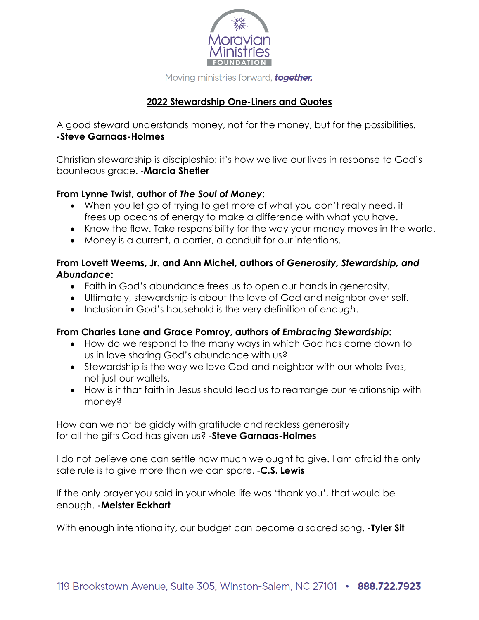

# **2022 Stewardship One-Liners and Quotes**

A good steward understands money, not for the money, but for the possibilities. **-Steve Garnaas-Holmes**

Christian stewardship is discipleship: it's how we live our lives in response to God's bounteous grace. -**Marcia Shetler**

#### **From Lynne Twist, author of** *The Soul of Money***:**

- When you let go of trying to get more of what you don't really need, it frees up oceans of energy to make a difference with what you have.
- Know the flow. Take responsibility for the way your money moves in the world.
- Money is a current, a carrier, a conduit for our intentions.

## **From Lovett Weems, Jr. and Ann Michel, authors of** *Generosity, Stewardship, and Abundance***:**

- Faith in God's abundance frees us to open our hands in generosity.
- Ultimately, stewardship is about the love of God and neighbor over self.
- Inclusion in God's household is the very definition of *enough*.

## **From Charles Lane and Grace Pomroy, authors of** *Embracing Stewardship***:**

- How do we respond to the many ways in which God has come down to us in love sharing God's abundance with us?
- Stewardship is the way we love God and neighbor with our whole lives, not just our wallets.
- How is it that faith in Jesus should lead us to rearrange our relationship with money?

How can we not be giddy with gratitude and reckless generosity for all the gifts God has given us? -**Steve Garnaas-Holmes**

I do not believe one can settle how much we ought to give. I am afraid the only safe rule is to give more than we can spare. -**C.S. Lewis**

If the only prayer you said in your whole life was 'thank you', that would be enough. **-Meister Eckhart**

With enough intentionality, our budget can become a sacred song. **-Tyler Sit**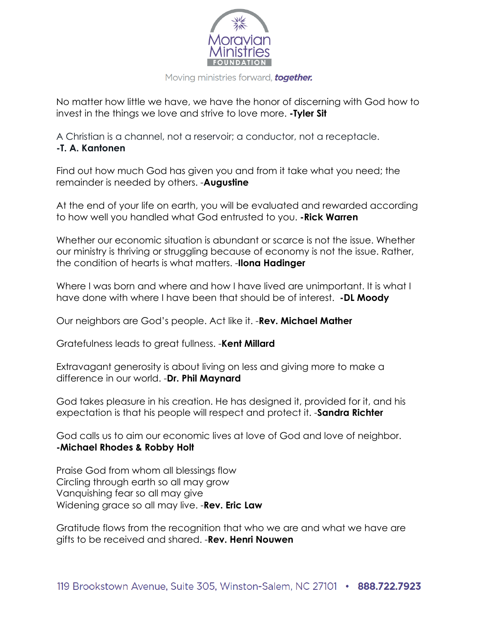

No matter how little we have, we have the honor of discerning with God how to invest in the things we love and strive to love more. **-Tyler Sit**

A Christian is a channel, not a reservoir; a conductor, not a receptacle. **-T. A. Kantonen**

Find out how much God has given you and from it take what you need; the remainder is needed by others. -**Augustine**

At the end of your life on earth, you will be evaluated and rewarded according to how well you handled what God entrusted to you. **-Rick Warren**

Whether our economic situation is abundant or scarce is not the issue. Whether our ministry is thriving or struggling because of economy is not the issue. Rather, the condition of hearts is what matters. -**Ilona Hadinger**

Where I was born and where and how I have lived are unimportant. It is what I have done with where I have been that should be of interest. **-DL Moody**

Our neighbors are God's people. Act like it. -**Rev. Michael Mather**

Gratefulness leads to great fullness. -**Kent Millard**

Extravagant generosity is about living on less and giving more to make a difference in our world. -**Dr. Phil Maynard**

God takes pleasure in his creation. He has designed it, provided for it, and his expectation is that his people will respect and protect it. -**Sandra Richter**

God calls us to aim our economic lives at love of God and love of neighbor. **-Michael Rhodes & Robby Holt**

Praise God from whom all blessings flow Circling through earth so all may grow Vanquishing fear so all may give Widening grace so all may live. -**Rev. Eric Law**

Gratitude flows from the recognition that who we are and what we have are gifts to be received and shared. -**Rev. Henri Nouwen**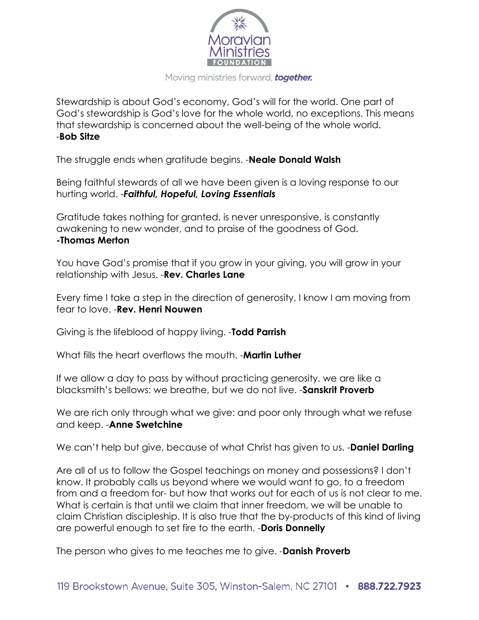

Stewardship is about God's economy, God's will for the world. One part of God's stewardship is God's love for the whole world, no exceptions. This means that stewardship is concerned about the well-being of the whole world. -**Bob Sitze**

The struggle ends when gratitude begins. -**Neale Donald Walsh**

Being faithful stewards of all we have been given is a loving response to our hurting world. -*Faithful, Hopeful, Loving Essentials*

Gratitude takes nothing for granted, is never unresponsive, is constantly awakening to new wonder, and to praise of the goodness of God. **-Thomas Merton**

You have God's promise that if you grow in your giving, you will grow in your relationship with Jesus. -**Rev. Charles Lane**

Every time I take a step in the direction of generosity, I know I am moving from fear to love. -**Rev. Henri Nouwen**

Giving is the lifeblood of happy living. -**Todd Parrish**

What fills the heart overflows the mouth. -**Martin Luther**

If we allow a day to pass by without practicing generosity, we are like a blacksmith's bellows: we breathe, but we do not live. -**Sanskrit Proverb**

We are rich only through what we give: and poor only through what we refuse and keep. -**Anne Swetchine**

We can't help but give, because of what Christ has given to us. -**Daniel Darling**

Are all of us to follow the Gospel teachings on money and possessions? I don't know. It probably calls us beyond where we would want to go, to a freedom from and a freedom for- but how that works out for each of us is not clear to me. What is certain is that until we claim that inner freedom, we will be unable to claim Christian discipleship. It is also true that the by-products of this kind of living are powerful enough to set fire to the earth. -**Doris Donnelly**

The person who gives to me teaches me to give. -**Danish Proverb**